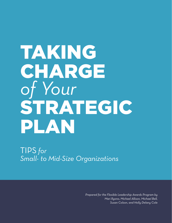# TAKING CHARGE *of Your*  STRATEGIC PLAN

TIPS *for Small- to Mid-Size Organizations*

> *Prepared for the Flexible Leadership Awards Program by Mari Ryono, Michael Allison, Michael Bell, Susan Colson, and Holly Delany Cole*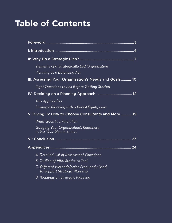# **Table of Contents**

| Elements of a Strategically Led Organization<br>Planning as a Balancing Act |
|-----------------------------------------------------------------------------|
| III. Assessing Your Organization's Needs and Goals 10                       |
| Eight Questions to Ask Before Getting Started                               |
|                                                                             |
| Two Approaches<br>Strategic Planning with a Racial Equity Lens              |
| V: Diving In: How to Choose Consultants and More 19                         |
| What Goes in a Final Plan                                                   |
| Gauging Your Organization's Readiness<br>to Put Your Plan in Action         |
|                                                                             |
|                                                                             |
| A. Detailed List of Assessment Questions                                    |
| <b>B.</b> Outline of Vital Statistics Tool                                  |
| C. Different Methodologies Frequently Used<br>to Support Strategic Planning |
| D. Readings on Strategic Planning                                           |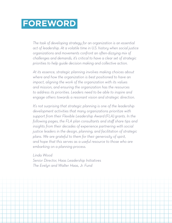# <span id="page-2-0"></span>**FOREWORD**

*The task of developing strategy for an organization is an essential act of leadership. At a volatile time in U.S. history when social justice organizations and movements confront an often-dizzying mix of challenges and demands, it's critical to have a clear set of strategic priorities to help guide decision making and collective action.* 

*At its essence, strategic planning involves making choices about where and how the organization is best positioned to have an impact, aligning the work of the organization with its values and mission, and ensuring the organization has the resources to address its priorities. Leaders need to be able to inspire and engage others towards a resonant vision and strategic direction.* 

*It's not surprising that strategic planning is one of the leadership development activities that many organizations prioritize with support from their Flexible Leadership Award (FLA) grants. In the following pages, the FLA plan consultants and staff share tips and insights from their decades of experience partnering with social justice leaders in the design, planning, and facilitation of strategic plans. We are grateful to them for their generosity of spirit, and hope that this serves as a useful resource to those who are embarking on a planning process.* 

*Linda Wood Senior Director, Haas Leadership Initiatives The Evelyn and Walter Haas, Jr. Fund*

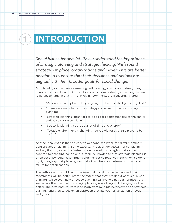# <span id="page-3-0"></span>**INTRODUCTION**  $\bigcirc$

*Social justice leaders intuitively understand the importance of strategic planning and strategic thinking. With sound strategies in place, organizations and movements are better positioned to ensure that their decisions and actions are aligned with their broader goals for social change.* 

But planning can be time-consuming, intimidating, and worse. Indeed, many nonprofit leaders have had difficult experiences with strategic planning and are reluctant to jump in again. The following comments are frequently shared:

- "We don't want a plan that's just going to sit on the shelf gathering dust."
- "There were not a lot of true strategy conversations in our strategic planning."
- "Strategic planning often fails to place core constituencies at the center and be culturally sensitive."
- "Strategic planning sucks up a lot of time and energy."
- "Today's environment is changing too rapidly for strategic plans to be useful."

Another challenge is that it's easy to get confused by all the different expert opinions about planning. Some experts, in fact, argue *against* formal planning and say that organizations instead should develop strategies that can be adapted to changing conditions.<sup>[1](#page-4-0)</sup> Others acknowledge that strategic planning is often beset by faulty assumptions and ineffective practices. But when it's done right, many say that planning can make the difference between success and failure for organizations.<sup>[2](#page-4-1)</sup>

The authors of this publication believe that social justice leaders and their movements will be better off to the extent that they break out of this dualistic thinking. We've seen how effective planning can make a huge difference. And we believe the practice of strategic planning is evolving and changing for the better. The best path forward is to learn from multiple perspectives on strategic planning and then to design an approach that fits your organization's needs and goals.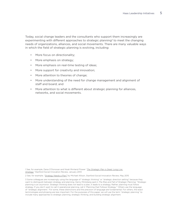Today, social change leaders and the consultants who support them increasingly are experimenting with different approaches to strategic planning<sup>[3](#page-4-2)</sup> to meet the changing needs of organizations, alliances, and social movements. There are many valuable ways in which the field of strategic planning is evolving, including:

- More focus on directionality;
- More emphasis on strategy;
- • More emphasis on real-time testing of ideas;
- More support for creativity and innovation;
- • More attention to theories of change;
- More understanding of the need for change management and alignment of staff and board; and
- More attention to what is different about strategic planning for alliances, networks, and social movements.

<span id="page-4-0"></span>1 See, for example, Dana O'Donovan and Noah Rimland Flower "*[The Strategic Plan is Dead. Long Live](https://ssir.org/articles/entry/the_strategic_plan_is_dead._long_live_strategy)  [Strategy,](https://ssir.org/articles/entry/the_strategic_plan_is_dead._long_live_strategy)*" Stanford Social Innovation Review, January 2013

<span id="page-4-1"></span>2 See, for example, "[Strategy Needs a Plan](https://ssir.org/articles/entry/strategy_needs_a_plan)*"* by Michael Allison, Stanford Social Innovation Review, May 2015

<span id="page-4-2"></span>3 Some colleagues are increasingly using the language of "strategic thinking" or "strategic direction setting" because they want to distinguish between strategy and planning. Henry Mintzberg said in *The Rise and Fall of Strategic Planning*: "Strategic planning is an oxymoron. Strategic thinking does not lead to a plan, it leads to a strategy. Rather, planning must follow strategy. If you don't want to call it operational planning, call it 'Planning that Follows Strategy.'" Others use the language of "strategic alignment." For some, these distinctions and the precision of language are fundamental. For others, the exact terminologies and phrasing are less important. For the purposes of this paper, we will use the term "strategic planning" to include many approaches to strategic planning, strategic thinking, and building strategic alignment.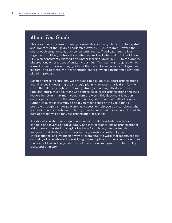# *About This Guide*

This resource is the result of many conversations among plan consultants, staff and grantees of the Flexible Leadership Awards (FLA) program. Toward the end of each engagement, plan consultants and staff dedicate time to learn together with FLA grantees about what worked and what did not. In addition, FLA plan consultants initiated a volunteer learning group in 2015 to tap grantee observations on practices of strategic planning. This learning group grew into a small project of developing guidance that could be valuable to FLA grantee leaders—and potentially other nonprofit leaders—when considering a strategic planning process.

Based on these discussions, we produced this guide to support organizations and alliances in designing the strategic planning process that is right for them. Given the relatively high cost of many strategic planning efforts in money, time and effort, this document was conceived to assist organizations and their leaders in getting maximum value from the work. This document is not an encyclopedic review of the strategic planning literature and methodologies. Rather, its purpose is simply to help you make sense of the value that is possible through a strategic planning process, to help you be clear about what you seek to accomplish, and to help you make informed choices about what the best approach will be for your organization or alliance.

Additionally, in sharing our guidance, we aim to demonstrate how leaders can hold and leverage a racial equity and intersectional lens as organizational visions are articulated, strategic directions formulated, new partnerships imagined, and strategies to strengthen organizations crafted. By an 'intersectional' lens, we mean a way of examining the work that recognizes the centrality of race while acknowledging the multiple and simultaneous identities that we hold, including gender, sexual orientation, immigration status, ability, class, and ethnicity.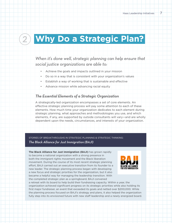

# <span id="page-6-0"></span>**Why Do a Strategic Plan?** 2

# *When it's done well, strategic planning can help ensure that social justice organizations are able to:*

- Achieve the goals and impacts outlined in your mission
- Do so in a way that is consistent with your organization's values
- Establish a way of working that is sustainable and effective
- Advance mission while advancing racial equity

### *The Essential Elements of a Strategic Organization*

A strategically-led organization encompasses a set of core elements. An effective strategic planning process will pay some attention to each of these elements. How much time your organization dedicates to each element during strategic planning, what approaches and methodologies you use, and which elements, if any, are supported by outside consultants will vary—and are wholly dependent upon the needs, circumstances, and interests of your organization.

Stories of Breakthroughs in Strategic Planning & Strategic Thinking: *The Black Alliance for Just Immigration (BAJI)*

**The Black Alliance for Just Immigration (BAJI)** has grown rapidly to become a national organization with a strong presence in both the immigrant rights movement and the Black liberation movement. During the course of its most recent strategic planning effort, BAJI carried out an executive transition from its founder to a new leader. The strategic planning process began with developing a new focus and strategic priorities for the organization, but it also became a helpful way for managing the leadership transition. With the completed strategic plan as a springboard, BAJI convened



a retreat with its board to help build their fundraising capacity. Within a year, the organization achieved significant progress on its strategic priorities while also holding its first major fundraiser, an event that exceeded its goals and netted over \$200,000. While the planning process focused on BAJI's strategy and plans, it also helped the organization fully step into its envisioned future with new staff leadership and a newly energized board.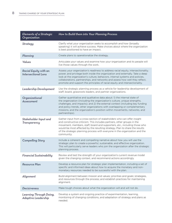| Elements of a Strategic<br>Organization             | How to Build them into Your Planning Process                                                                                                                                                                                                                                                                                                                                                                      |  |
|-----------------------------------------------------|-------------------------------------------------------------------------------------------------------------------------------------------------------------------------------------------------------------------------------------------------------------------------------------------------------------------------------------------------------------------------------------------------------------------|--|
| <b>Strategy</b>                                     | Clarify what your organization seeks to accomplish and how (broadly<br>speaking) it will achieve success. Make choices about where the organization<br>is best positioned to have an impact.                                                                                                                                                                                                                      |  |
| Planning                                            | Create plans to operationalize the strategy.                                                                                                                                                                                                                                                                                                                                                                      |  |
| Values                                              | Articulate your values and examine how your organization and its people will<br>live those values through the work.                                                                                                                                                                                                                                                                                               |  |
| Racial Equity with an<br><b>Intersectional Lens</b> | Assess your organization's readiness to address racial equity, intersectionality,<br>power, and privilege both inside the organization and externally. Take a deep<br>look at the organization's culture, behaviors, internal systems and policies,<br>collaborations, partnerships, and networks and assess how well they reflect,<br>promote and support the principles of racial equity and intersectionality. |  |
| Leadership Development                              | Use the strategic planning process as a vehicle for leadership development of<br>staff, board, grassroots leaders, and partner organizations.                                                                                                                                                                                                                                                                     |  |
| Organizational<br>Assessment                        | Gather quantitative and qualitative data about: 1) the internal state of<br>the organization (including the organization's culture, unique strengths,<br>challenges, and impacts); and 2) the external context (including key funding<br>and policy trends, other organizations with overlapping or complementary<br>missions, and the organization's position within movements, networks, and<br>partnerships).  |  |
| Stakeholder Input and<br>Transparency               | Gather input from a cross-section of stakeholders who can offer insight<br>and constructive criticism. This includes partners, other groups in the<br>movement, members, staff, board and supporters, etc., including those who<br>would be most affected by the resulting strategy. Plan to share the results<br>of the strategic planning process with everyone in the organization and the<br>community.       |  |
| <b>Compelling Story</b>                             | Include a coherent and compelling narrative about how you will use the<br>strategic plan to create a powerful, sustainable, and effective organization.<br>This will particularly serve leaders who join the organization after the strategic<br>planning process.                                                                                                                                                |  |
| <b>Financial Sustainability</b>                     | Review and test the strength of your organization's current revenue model<br>given the changing context, and recommend actions accordingly.                                                                                                                                                                                                                                                                       |  |
| <b>Resource Plan</b>                                | Develop a resource plan for strategic plan implementation, including a set of<br>specific and informed ideas about how to acquire the monetary and non-<br>monetary resources needed to be successful with the plan.                                                                                                                                                                                              |  |
| Alignment                                           | Build alignment between mission and values; priorities and goals; strategies,<br>and resources through the process; and establish practices for maintaining<br>alignment.                                                                                                                                                                                                                                         |  |
| <b>Decisiveness</b>                                 | Make tough choices about what the organization will and will not do.                                                                                                                                                                                                                                                                                                                                              |  |
| Learning Through Doing,<br>Adaptive Leadership      | Develop a system and ongoing practice of experimentation, learning,<br>monitoring of changing conditions, and adaptation of strategy and plans as<br>needed.                                                                                                                                                                                                                                                      |  |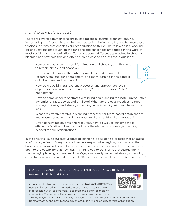# *Planning as a Balancing Act*

There are several common tensions in leading social change organizations. An important goal of strategic planning and strategic thinking is to try and balance these tensions in a way that enables your organization to thrive. The following is a working list of questions that touch on the tensions and challenges embedded in the work of most social change organizations. To some degree, different approaches to strategic planning and strategic thinking offer different ways to address these questions.

- How do we balance the need for direction and strategy and the need to remain nimble and adaptive?
- How do we determine the right approach to (and amount of) research, stakeholder engagement, and team learning in the context of limited time and resources?
- How do we build in transparent processes and appropriate levels of participation around decision-making? How do we avoid "fake" engagement?
- How do some aspects of strategic thinking and planning replicate unproductive dynamics of race, power, and privilege? What are the best practices to root strategic thinking and strategic planning in racial equity with an intersectional lens?
- • What are effective strategic planning processes for team-based organizations and looser networks that do not operate like a traditional organization?
- Given constraints on time and resources, how do we use our time most efficiently (staff and board) to address the elements of strategic planning needed for our organization?

In the end, the key to successful strategic planning is designing a process that engages all of the organization's key stakeholders in a respectful, energizing manner, and that builds enthusiasm and hopefulness for the road ahead. Leaders and teams should stay open to the possibility that new insights might lead to transformative change during the strategic planning process. As Jude Kaye, a nationally respected strategic planning consultant and author, would oft repeat, "Remember, the past has a vote but not a veto!"

Stories of Breakthroughs in Strategic Planning & Strategic Thinking: *National LGBTQ Task Force*

As part of its strategic planning process, the **National LGBTQ Task Force** collaborated with the Institute of the Future to sit down in discussion with leaders from Facebook and other technology companies. The focus of the conversation was how the future is

already playing out in Silicon Valley. Leaders at the Task Force say the encounter was transformative, and now technology strategy is a major priority for the organization.



**NATIONAL LGBTC TASK FORCE**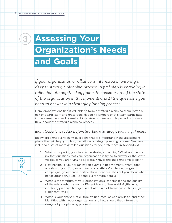3

# **Assessing Your Organization's Needs and Goals**

*If your organization or alliance is interested in entering a deeper strategic planning process, a first step is engaging in reflection. Among the key points to consider are: 1) the state of the organization in this moment; and 2) the questions you need to answer in a strategic planning process.* 

Many organizations find it valuable to form a strategic planning team (often a mix of board, staff, and grassroots leaders). Members of this team participate in the assessment and consultant interview process and play an advisory role throughout the strategic planning process.

# *Eight Questions to Ask Before Starting a Strategic Planning Process*

Below are eight overarching questions that are important in the assessment phase that will help you design a tailored strategic planning process. We have included a set of more detailed questions for your reference in Appendix A.

- 1. What is propelling your interest in strategic planning? What are the important questions that your organization is trying to answer or the strategic issues you are trying to address? Why is this the right time to plan?
- 2. How healthy is your organization overall in this moment? What does a review of your "organizational vital statistics" (mission, programs, campaigns, governance, partnerships, finances, etc.) tell you about what needs attention? (See Appendix B for more details.)
- 3. What is the strength of your organization's leadership and the quality of the relationships among different levels of leadership? (Planning can bring people into alignment, but it cannot be expected to bridge significant rifts.)
- 4. What is your analysis of culture, values, race, power, privilege, and other identities within your organization, and how should that inform the design of your planning process?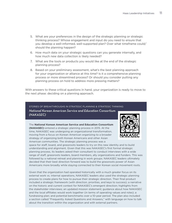- 5. What are your preferences in the design of the strategic planning or strategic thinking process? Whose engagement and input do you need to ensure that you develop a well-informed, well-supported plan? Over what timeframe could/ should the planning happen?
- 6. How much data on your strategic questions can you generate internally, and how much new data collection is likely needed?
- 7. What are the tools or products you would like at the end of the strategic planning process?
- 8. Based on your preliminary assessment, what's the best planning approach for your organization or alliance at this time? Is it a comprehensive planning process or more streamlined process? Or should you consider putting any planning process on hold to address more pressing matters?

With answers to these critical questions in hand, your organization is ready to move to the next phase: deciding on a planning approach.



Stories of Breakthroughs in Strategic Planning & Strategic Thinking:

*National Korean American Service and Education Consortium (NAKASEC)*

The **National Korean American Service and Education Consortium (NAKASEC)** entered a strategic planning process in 2015. At the time, NAKASEC was undergoing an organizational transformation, moving from a focus on Korean American organizing to a broader strategy of organizing both Korean Americans and other Asian American communities. The strategic planning process was a

space for staff, board, and grassroots leaders to try on this new identity and to build understanding and alignment. Given that this was NAKASEC's first formal strategic planning process, its leaders asked their consultant to conduct interviews with a wide range of staff, grassroots leaders, board members, ally organizations and funders. This was followed by a national retreat and planning in work groups. NAKASEC leaders ultimately decided that their best direction forward was to build the grassroots power of Asian Americans more broadly while staying connected to their Korean social movement roots.

Given that the organization had operated historically with a much greater focus on its external work vs. internal operations, NAKASEC leaders also used the strategic planning process to create plans for how to pursue their strategic direction. Their final product included a strategic framework (with direction, priorities, and keys to success); a narrative on the historic and current context for NAKASEC's emergent direction; highlights from the stakeholder interviews; an updated mission statement; guidance about how NAKASEC and the local affiliates would work together (in terms of operating values and roles); a fundraising plan; and potential benchmarks over a 10-year period. The plan also included a section called "Frequently Asked Questions and Answers," with language on how to talk about the transition within the organization and with external partners.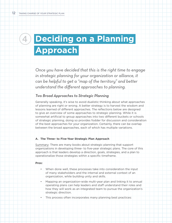# <span id="page-11-0"></span>**4 Deciding on a Planning Approach**

*Once you have decided that this is the right time to engage in strategic planning for your organization or alliance, it can be helpful to get a "map of the territory" and better understand the different approaches to planning.*

#### *Two Broad Approaches to Strategic Planning*

Generally speaking, it's wise to avoid dualistic thinking about what approaches of planning are right or wrong. A better strategy is to harvest the wisdom and lessons learned of different approaches. The reflections below are designed to give an overview of some approaches to strategic planning. While it is somewhat artificial to group approaches into two different buckets or schools of strategic planning, doing so provides fodder for discussion and consideration of the best approaches for your organization. Certainly, there can be overlap between the broad approaches, each of which has multiple variations.

#### **A. The Three- to Five-Year Strategic Plan Approach**

Summary: There are many books about strategic planning that support organizations in developing three- to five-year strategic plans. The core of this approach is that leaders develop a direction, goals, strategies, and a plan to operationalize those strategies within a specific timeframe.

#### **Pros:**

- When done well, these processes take into consideration the input of many stakeholders and the internal and external context of an organization, while building unity and skills.
- Mapping an organization-wide multi-year plan and linking it to annual operating plans can help leaders and staff understand their roles and how they will work as an integrated team to pursue the organization's strategic direction.
- This process often incorporates many planning best practices: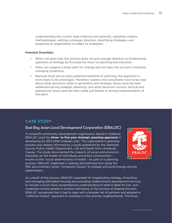understanding the current state (internal and external), adopting creative methodologies, setting a strategic direction, identifying strategies, and preparing an organization to adapt its strategies.

#### **Potential Downfalls:**

- • When not done well, this process does not give enough attention to fundamental questions of strategy by focusing too much on planning and execution.
- Plans can suggest a linear path for change and not take into account constantly changing conditions.
- • Because there are so many potential elements to planning, this approach is more likely to be prolonged. Therefore, leaders and consultants have to be clear about what decisions relate to generative and strategic issues (and are best addressed during strategic planning), and what decisions concern tactical and operational issues (and are best made just before or during implementation of the plan).

# **Case Study:**

# *East Bay Asian Local Development Corporation (EBALDC)*

A nonprofit community development organization based in Oakland, EBALDC used the **three- to five-year strategic planning approach** in developing its 2013-2016 strategic plan. The organization's planning process was deeply informed by a study published by the Alameda County Public Health Department, *Life and Death from Unnatural Cause*s. The study documented the impacts of social and economic inequities on the health of individuals and entire communities known as the "social determinants of health." As part of a planning process, EBALDC organized a viewing and listening tour using the



PBS documentary series "Unnatural Causes" to engage and build energy among stakeholders.

As a result of the process, EBALDC expanded its longstanding strategy of building and managing affordable housing and providing neighborhood development services to include a much more comprehensive understanding of what it takes for low- and moderate-income people to achieve well-being. In the process of shaping the plan, EBALDC recognized that it had to align with a broader set of partners and adopted a "collective impact" approach to working in a few priority neighborhoods. The focus: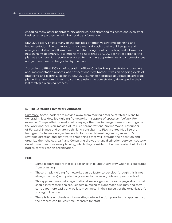engaging many other nonprofits, city agencies, neighborhood residents, and even small businesses as partners in neighborhood transformation.

EBALDC's story shows many of the qualities of effective strategic planning and implementation. The organization chose methodologies that would engage and energize stakeholders. It examined the data, thought out of the box, and allowed for new thinking to emerge. It is important to note that EBALDC did not experience this plan as a constraint; it regularly adapted to changing opportunities and circumstances and yet continued to be guided by the plan.

According to EBALDC's chief operating officer, Charise Fong, the strategic planning and implementation process was not neat and tidy. Rather, it was an ongoing cycle of practicing and learning. Recently, EBALDC launched a process to update its strategic plan with a firm commitment to continue using the core strategy developed in their last strategic planning process.

#### **B. The Strategic Framework Approach**

Summary: Some leaders are moving away from making detailed strategic plans to generating less detailed guiding frameworks in support of *strategic thinking*. For example, CompassPoint developed one-page theory-of-change frameworks to guide the work and decision-making of its client organizations. Norma Wong, cofounder of Forward Stance and strategic thinking consultant to FLA grantee Mobilize the Immigrant Vote, encourages leaders to focus on determining an organization's strategic direction and just two to three things that will leverage their position and organize their choices. La Piana Consulting draws a sharp distinction between strategy development and business planning, which they consider to be two related but distinct bodies of work for an organization.

#### **Pros:**

- Some leaders report that it is easier to think about strategy when it is separated from planning.
- These simple guiding frameworks can be faster to develop (though this is not always the case) and potentially easier to use as a guide and practical tool.
- This approach may help organizational leaders get on the same page about what should inform their choices. Leaders pursuing this approach also may find they can adapt more easily and be less mechanical in their pursuit of the organization's strategic direction.
- There is less emphasis on formulating detailed action plans in this approach, so the process can be less time-intensive for staff.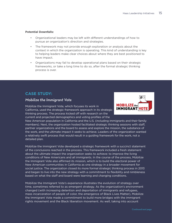#### **Potential Downfalls:**

- • Organizational leaders may be left with different understandings of how to pursue an organization's direction and strategies.
- The framework may not provide enough exploration or analysis about the context in which the organization is operating. This kind of understanding is key to helping leaders make clear choices about where they are best positioned to have impact.
- • Organizations may fail to develop operational plans based on their strategic frameworks, or take a long time to do so, after the formal strategic thinking process is over.

# **Case Study:**

# *Mobilize the Immigrant Vote*

Mobilize the Immigrant Vote, which focuses its work in California, used the strategic framework approach in its strategic thinking process. The process kicked off with research on the current and projected demographics and voting profiles of the



New American population in California and the U.S. (including immigrants and their family members). Next, the organization hosted facilitated strategic thinking sessions with staff, partner organizations and the board to assess and explore the mission, the substance of the work, and the ultimate impact it seeks to achieve. Leaders of the organization wanted a relatively swift process that would result in a guiding framework for the work, not a detailed plan.

Mobilize the Immigrant Vote developed a strategic framework with a succinct statement of the conclusions reached in the process. This framework included a fresh statement about the ultimate impact the organization seeks to achieve: to improve the living conditions of New Americans and all immigrants. In the course of the process, Mobilize the Immigrant Vote also affirmed its mission, which is to build the electoral power of New American communities in California as one strategy in a broader movement for social justice. The organization closed its more formal strategic thinking process in 2013 and began to live into the new strategy with a commitment to flexibility and nimbleness based on what the staff and board were learning and changing conditions.

Mobilize the Immigrant Vote's experience illustrates the evolution of strategy over time, sometimes referred to as emergent strategy. As the organization's environment changed (with increasing detention and deportation of immigrants and refugees, mass incarceration of people of color, the emergence of Black Lives Matter), Mobilize the Immigrant Vote made a commitment to build more bridges with the immigrant rights movement and the Black liberation movement. As well, taking into account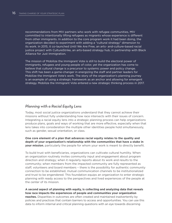recommendations from MIV partners who work with refugee communities, MIV committed to intentionally lifting refugees as migrants whose experience is different from other immigrants. In addition to the core program work it had been doing, the organization decided to experiment with adding a "cultural strategy" dimension to its work. In 2015, it co-launched Until We Are Free, an arts- and-culture-based racial justice project with CultureStrike, an arts-based strategy hub, in partnership with Black Alliance for Just Immigration.

The mission of Mobilize the Immigrant Vote is still to build the electoral power of immigrants, refugees and young people of color, yet the organization has come to believe that cultural change is a precursor to systemic power and policy change. This shift has been a game-changer in energizing the staff and partner leaders for Mobilize the Immigrant Vote's work. The story of the organization's planning journey is an example of using a strategic framework as an anchor and allowing for emergent strategy. Mobilize the Immigrant Vote entered a new strategic thinking process in 2017.

### *Planning with a Racial Equity Lens*

Today, most social justice organizations understand that they cannot achieve their missions without fully understanding how race intersects with their issues of concern. Integrating a racial equity lens into a strategic planning process can help organizations produce plans, goals and ways of working that are more effective, especially when that lens takes into consideration the multiple other identities people hold simultaneously, such as gender, sexual orientation, or class.

**One core element of a plan that advances racial equity relates to the quality and depth of your organization's relationship with the communities that have a stake in your mission**, particularly the people for whom your work is meant to directly benefit.

To build trust with beneficiaries, organizations can cultivate cultural humility. When an organization routinely invites community input and engagement about program direction and strategy; when it regularly reports about its work and results to the community; when members from the impacted community are fully represented as staff, volunteers and board members – there is the possibility for authentic community connection to be established, mutual communication channels to be institutionalized and trust to be engendered. This foundation equips an organization to enter strategic planning with ready access to the perspectives and lived experiences of the people at the center of its mission.

**A second aspect of planning with equity, is collecting and analyzing data that reveals how race impacts the experiences of people and communities your organization reaches.** Disparities in outcomes are often created and maintained inadvertently by

policies and practices that contain barriers to access and opportunities. You can use this data to inform internal and critical planning questions with an eye towards discerning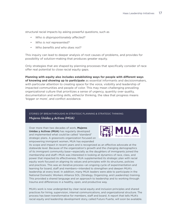structural racial impacts by asking powerful questions, such as

- *• Who is disproportionately affected?*
- *• Who is not represented?*
- *• Who benefits and who does not?*

This inquiry can lead to deeper analysis of root causes of problems, and provides for possibility of solution-making that produces greater equity.

Only strategies that are shaped by planning processes that specifically consider of race offer real potential to close racial equity gaps.

**Planning with equity also includes establishing ways for people with different ways of knowing and showing up to participate** as essential informants and decisionmakers, with particular attention to creating space for the voice, visibility and leadership of impacted communities and people of color. This may mean challenging prevailing organizational culture that prioritizes a sense of urgency, quantity over quality, documentation and writing skills, either/or thinking, the idea that progress means 'bigger or more', and conflict avoidance.

#### Stories of Breakthroughs in Strategic Planning & Strategic Thinking: *Mujeres Unidas y Activas (MUA)*

Over more than two decades of work, **Mujeres Unidas y Activas (MUA)** has regularly developed and implemented what could be called "standard" strategic plans. A grassroots organization focused on empowering immigrant women, MUA has expanded



its scope and impact in recent years and is recognized as an effective advocate at the statewide level. Because of the organization's growth and the changing demographics of its immigrant community base—especially as the daughters of immigrants joined the membership and staff—MUA was interested in looking at dynamics of race, class, and power that impacted its effectiveness. MUA supplemented its strategic plan with racial equity work focused on aligning its values and principles with its structures, policies and practices. This was an iterative process—an ongoing cycle of experimentation and learning for board, staff and members—intended to strengthen and deepen MUA's leadership at every level. In addition, many MUA leaders were able to participate in the National Domestic Workers Alliance SOL (Strategy, Organizing, and Leadership) training. This provided a shared language and an approach to leadership and to working through trauma and differences in a healthy, open, and productive way.

MUA's work is now undergirded by clear racial equity and inclusion principles and shared practices for hiring, supervision, internal communications, and organizational structure. The process has been transformative for members, staff and board. A report that tells MUA's racial equity and leadership development story, called Futuro Fuerte, will soon be available.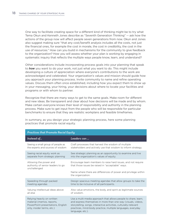One way to facilitate creating space for a different kind of thinking might be to try what Tema Okun and Kenneth Jones describe as "Seventh Generation Thinking" -- ask how the actions of the group now will affect people seven generations from now. Okun and Jones also suggest making sure "that any cost/benefit analysis includes all the costs, not just the financial ones, for example the cost in morale, the cost in credibility, the cost in the use of resources." How can you build in mechanisms for the community to give feedback to the organization? How you will assess whether your plan is working by engaging in systematic inquiry that reflects the multiple ways people know, learn, and understand?

Other considerations include incorporating process goals into your planning that speak to *how* you want to do your work, not just what you want to do. This might include developing a culture of appreciation where everyone's contributions to the work are acknowledged and celebrated. Your organization's values and mission should guide how you approach your planning process. Invite community to name and refine operating values. Discuss them often once established, including how you expect them to show up in your messaging, your hiring, your decisions about where to locate your facilities and programs or with whom to partner.

Recognize that there are many ways to get to the same goals. Make room for different and new ideas. Be transparent and clear about how decisions will be made and by whom. Make certain everyone knows their level of responsibility and authority in the planning process. Make sure to get input from the people who will be responsible for particular benchmarks to ensure that they are realistic workplans and feasible timeframes.

| <b>Practices that Promote Racial Equity</b>                                                                                |                                                                                                                                                                                                                                                                                        |  |
|----------------------------------------------------------------------------------------------------------------------------|----------------------------------------------------------------------------------------------------------------------------------------------------------------------------------------------------------------------------------------------------------------------------------------|--|
| Instead of                                                                                                                 | Leaders can                                                                                                                                                                                                                                                                            |  |
| Seeing a small group of people as<br>the experts and sources of wisdom                                                     | Craft processes that harvest the wisdom of multiple<br>stakeholders and actively use that wisdom to inform strategy.                                                                                                                                                                   |  |
| Seeing racial equity work as<br>separate from strategic planning                                                           | See strategic planning as an opportunity to examine and live<br>into the organization's values of equity.                                                                                                                                                                              |  |
| Allowing the power and<br>authority of senior leaders to go<br>unchallenged                                                | Encourage team members to raise hard issues, and not require<br>that those issues be raised in "acceptable" ways.                                                                                                                                                                      |  |
|                                                                                                                            | Name where there are differences of power and privilege within<br>the organization.                                                                                                                                                                                                    |  |
| Speeding through packed<br>meeting agendas                                                                                 | Design spacious meeting agendas that allow groups to take the<br>time to be inclusive of all participants.                                                                                                                                                                             |  |
| Valuing intellectual ideas above<br>all else                                                                               | Also value emotions, the body, and spirit as legitimate sources<br>of wisdom.                                                                                                                                                                                                          |  |
| Relying heavily on written<br>material (memos, reports,<br>PowerPoint presentations, English<br>only, insider terms, etc.) | Use a multi-media approach that allows people to share, learn,<br>and express themselves in more than one way (visuals, videos,<br>storytelling, songs, interactive activities, culturally-relevant<br>practices, mind-body practice, multiple languages, everyday<br>language, etc.). |  |

In summary, as you design your strategic planning process, here some planning practices that promote racial equity.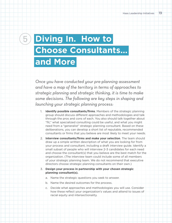# <span id="page-18-0"></span>**6 Diving In. How to Choose Consultants… and More**

*Once you have conducted your pre-planning assessment and have a map of the territory in terms of approaches to strategic planning and strategic thinking, it is time to make some decisions. The following are key steps in shaping and launching your strategic planning process:*

- **Identify possible consultants/firms**. Members of the strategic planning group should discuss different approaches and methodologies and talk through the pros and cons of each. You also should talk together about "fit," what specialized consulting could be useful, and what you might need from a "generalist" strategic planning consultant. Based on these deliberations, you can develop a short list of reputable, recommended consultants or firms that you believe are most likely to meet your needs.
- 2. **Interview consultants/firms and make your selection**. The team should draw up a simple written description of what you are looking for from your process and consultant, including a draft interview guide. Identify a small subset of people who will interview 2-3 candidates for each need and choose the consultant(s) that you believe are the best match for the organization. (The interview team could include some of all members of your strategic planning team. We do not recommend that executive directors choose strategic planning consultants on their own.)
- 3. **Design your process in partnership with your chosen strategic planning consultant(s).**
	- a. Name the strategic questions you seek to answer.
	- b. Name the desired outcomes for the process.
	- c. Decide what approaches and methodologies you will use. Consider how these reflect your organization's values and attend to issues of racial equity and intersectionality.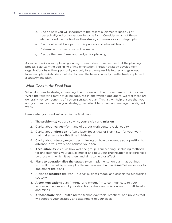- d. Decide how you will incorporate the essential elements (page 7) of strategically-led organizations in some form. Consider which of these elements will be the final written strategic framework or strategic plan.
- e. Decide who will be a part of this process and who will lead it.
- f. Determine how decisions will be made.
- g. Decide the time frame and budget for planning.

As you embark on your planning journey, it's important to remember that the planning process is actually the beginning of implementation. Through strategy development, organizations have the opportunity not only to explore possible futures and gain input from multiple stakeholders, but also to build the team's capacity to effectively implement a strategy and plan.

### *What Goes in the Final Plan*

When it comes to strategic planning, the *process* and the *product* are both important. While the following may not all be captured in one written document, we feel these are generally key components of a strong strategic plan. This list will help ensure that you and your team can act on your strategy, describe it to others, and manage the aligned work.

Here's what you want reflected in the final plan:

- 1. The **problem(s)** you are solving, your **vision** and **mission**
- 2. Clarity about **values**—for many of us, our work centers racial equity
- 3. Clarity about **direction**—often a laser-focus goal or North Star for your work that makes sense for this time in history
- 4. Clarity about **strategy**—your best thinking on how to leverage your position to advance in your work and achieve your goal
- 5. **Accountability** vis-à-vis how well the group is succeeding—including methods for understanding your actual impact and how your organization is experienced by those with which it partners and aims to help or affect
- 6. **Plans to operationalize the strategy**—an implementation plan that outlines who will do what by when, plus the material and human **resources** necessary to implement the plans
- 7. A plan to **resource** the work—a clear business model and associated fundraising strategy
- 8. **A communications** plan (internal and external) to communicate to your various audiences about your direction, values, and mission, and to shift hearts and minds
- 9. **A technology** plan outlining the technology tools, practices, and policies that will support your strategy and attainment of your goals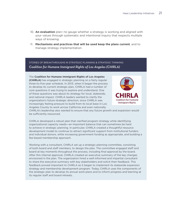- 10. **An evaluation** plan—to gauge whether a strategy is working and aligned with your values through systematic and intentional inquiry that respects multiple ways of knowing.
- 11. **Mechanisms and practices that will be used keep the plans current**, and to manage strategy implementation

Stories of Breakthroughs in Strategic Planning & Strategic Thinking: *Coalition for Humane Immigrant Rights of Los Angeles (CHIRLA)*

The **Coalition for Humane Immigrant Rights of Los Angeles (CHIRLA)** has engaged in strategic planning on a fairly regular three-to-five-year schedule. In 2013, when it began the process to develop its current strategic plan, CHIRLA had a number of core questions it was trying to explore and understand. One of these questions was about its strategy for local, statewide, and national impact. CHIRLA leaders wanted to clarify the organization's future strategic direction, since CHIRLA was increasingly feeling pressure to build from its local base in Los



Angeles County to work across California and even nationally. CHIRLA's leadership also wanted to ensure that any future growth and expansion would be sufficiently resourced.

CHIRLA developed a robust plan that clarified program strategy while identifying organizational capacity needs—an important balance that can sometimes be hard to achieve in strategic planning. In particular, CHIRLA created a thoughtful resource development model to continue to attract significant support from institutional funders and individual donors, while increasing government funding as appropriate, and building a fee-based membership approach.

Working with a consultant, CHIRLA set up a strategic planning committee, consisting of both board and staff members, to design the plan. The committee engaged staff and board at key moments throughout the process, including final approval by the board. After this internal approval, CHIRLA created an executive summary of the key changes envisioned in the plan. The organization hired a well-informed and impartial consultant to share the executive summary with key stakeholders and solicit their feedback. This feedback proved important to CHIRLA as it began to implement its statewide expansion strategy and membership development program. Today, CHIRLA uses the components of the strategic plan to develop its annual work plans and to inform progress and learning at its regular staff and board retreats.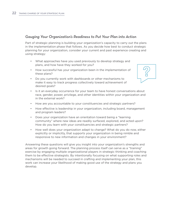### *Gauging Your Organization's Readiness to Put Your Plan into Action*

Part of strategic planning is building your organization's capacity to carry out the plans in the implementation phase that follows. As you decide how best to conduct strategic planning for your organization, consider your current and past experience creating and using strategy:

- What approaches have you used previously to develop strategy and plans, and how have they worked for you?
- • How successful has your organization been in the implementation of these plans?
- • Do you currently work with dashboards or other mechanisms to make it easy to track progress collectively toward achievement of desired goals?
- • Is it an everyday occurrence for your team to have honest conversations about race, gender, power, privilege, and other identities within your organization and in the external work?
- How are you accountable to your constituencies and strategic partners?
- • How effective is leadership in your organization, including board, management and program leaders?
- Does your organization have an orientation toward being a "learning" community" where new ideas are readily surfaced, explored, and acted upon? How do you learn with your constituencies and strategic partners?
- How well does your organization adapt to change? What do you do now, either explicitly or implicitly, that supports your organization in being nimble and responsive to new information and changes in your environment?

Answering these questions will give you insight into your organization's strengths and areas for growth going forward. The planning process itself can serve as a "training" exercise by engaging multiple organizational players in strategic thinking and coaching them to be effective strategists. By intentionally focusing on what supporting roles and mechanisms will be needed to succeed in crafting and implementing your plan, this work can increase your likelihood of making good use of the strategy and plans you develop.

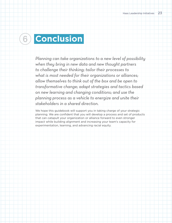# <span id="page-22-0"></span>**Conclusion**

*Planning can take organizations to a new level of possibility when they bring in new data and new thought partners to challenge their thinking; tailor their processes to what is most needed for their organizations or alliances; allow themselves to think out of the box and be open to transformative change; adapt strategies and tactics based on new learning and changing conditions; and use the planning process as a vehicle to energize and unite their stakeholders in a shared direction.* 

We hope this guidebook will support you in taking charge of your strategic planning. We are confident that you will develop a process and set of products that can catapult your organization or alliance forward to even stronger impact while building alignment and increasing your team's capacity for experimentation, learning, and advancing racial equity.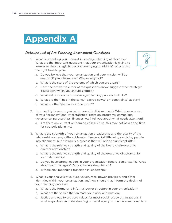<span id="page-23-0"></span>

### *Detailed List of Pre-Planning Assessment Questions*

1. What is propelling your interest in strategic planning at this time? What are the important questions that your organization is trying to answer or the strategic issues you are trying to address? Why is this the right time to plan?



- a. Do you believe that your organization and your mission will be around 10 years from now? Why or why not?
- b. What is the state of the systems of which you are a part?
- c. Does the answer to either of the questions above suggest other strategic issues with which you should grapple?
- d. What will success for this strategic planning process look like?
- e. What are the "lines in the sand," "sacred cows," or "constraints" at play?
- f. What are the "elephants in the room"?
- 2. How healthy is your organization overall in this moment? What does a review of your "organizational vital statistics" (mission, programs, campaigns, governance, partnerships, finances, etc.) tell you about what needs attention?
	- a. Are there any current or looming crises? (If so, this may not be a good time for strategic planning.)
- 3. What is the strength of your organization's leadership and the quality of the relationships among different levels of leadership? (Planning can bring people into alignment, but it is rarely a process that will bridge significant rifts.)
	- a. What is the relative strength and quality of the board chair-executive director relationship?
	- b. What is the relative strength and quality of the executive director-senior staff relationship?
	- c. Do you have strong leaders in your organization (board, senior staff)? What about your managers? Do you have a deep bench?
	- d. Is there any impending transition in leadership?
- 4. What is your analysis of culture, values, race, power, privilege, and other identities within your organization, and how should that inform the design of your planning process?
	- a. What is the formal and informal power structure in your organization?
	- b. What are the values that animate your work and mission?
	- c. Justice and equity are core values for most social justice organizations. In what ways does an understanding of racial equity with an intersectional lens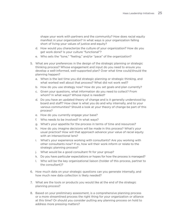shape your work with partners and the community? How does racial equity manifest in your organization? In what ways is your organization falling short of living your values of justice and equity?

- d. How would you characterize the culture of your organization? How do you get work done? Is your culture "functional"?
- e. Who sets the "tone," "feeling," and/or "pace" of the organization?
- 5. What are your preferences in the design of the strategic planning or strategic thinking process? Whose engagement and input do you need to ensure you develop a well-informed, well-supported plan? Over what time could/should the planning happen?
	- a. When is the last time you did strategic planning or strategic thinking, and what worked well about that process? What did not work well?
	- b. How do you use strategy now? How do you set goals and plan currently?
	- c. Given your questions, what information do you need to collect? From whom? In what ways? Whose input is needed?
	- d. Do you have an updated theory of change and is it generally understood by board and staff? How clear is what you do and why internally, and to your various communities? Should a look at your theory of change be part of this process?
	- e. How do you currently engage your base?
	- f. Who needs to be involved? In what ways?
	- g. What's your appetite for the process in terms of time and resources?
	- h. How do you imagine decisions will be made in this process? What's your usual practice? How will that approach advance your value of racial equity with an intersectional lens?
	- i. What's your experience working with consultants? Are you working with other consultants now? If so, how will their work inform or relate to the strategic planning process?
	- j. What would be a good consultant fit for your group?
	- k. Do you have particular expectations or hopes for how the process is managed?
	- l. Who will be the key organizational liaison (holder of this process, partner to the consultant)?
- 6. How much data on your strategic questions can you generate internally, and how much new data collection is likely needed?
- 7. What are the tools or products you would like at the end of the strategic planning process?
- 8. Based on your preliminary assessment, is a comprehensive planning process or a more streamlined process the right thing for your organization or alliance at this time? Or should you consider putting any planning process on hold to address more pressing matters?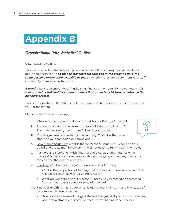

# *Organizational "Vital Statistics" Outline*

#### Vital Statistics Outline

This tool can be helpful early in a planning process. It is one way to organize facts about the organization *so that all stakeholders engaged in the planning have the same baseline information available to them* – whether they are board members, staff, community members, partners, etc.

If *trend* data is presented about fundraising, finances, membership growth, etc. – *this tool also helps stakeholders pinpoint issues that would benefit from attention in the planning process*.

This is a suggested outline that should be adapted to fit the interests and concerns of your organization.

#### Elements to Consider Tracking

- I. Mission: What is your mission and what is your theory of change?
- II. Programs: What are the current programs? What is their scope? Their relative strength and value? How do you know?
- III. Campaigns: Are you currently in a campaign? What is the current status of your campaign or campaigns?
- 
- IV. Governance Structure: What is the governance structure? Who is on your board and are its members working well together to fully inhabit their roles?
- V. Partners and Networks: With whom are you collaborating and for what purpose? What are your network's relative strengths and values, given your mission and the current context?
- VI. Funding: What are your organization's sources of funding?
	- a. What is the proportion of funding that comes from these sources and how reliable are they likely to be going forward?
	- b. What do you notice about whether funding has increased or decreased from any particular source or type of revenue?
- VII. Financial Health: What is your organization's financial health and the status of its compliance requirements?
	- a. Have you had balanced budgets the last few years? If you drew on reserves, was it for a strategic purpose or because you had no other choice?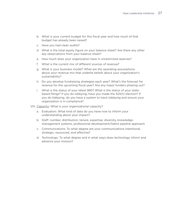- b. What is your current budget for this fiscal year and how much of that budget has already been raised?
- c. Have you had clean audits?
- d. What is the total equity figure on your balance sheet? Are there any other key observations from your balance sheet?
- e. How much does your organization have in unrestricted reserves?
- f. What is the current mix of different sources of revenue?
- g. What is your business model? What are the operating assumptions about your revenue mix that underlie beliefs about your organization's sustainability?
- h. Do you develop fundraising strategies each year? What's the forecast for revenue for the upcoming fiscal year? Are any major funders phasing out?
- i. What is the status of your latest 990? What is the status of your statebased filings? If you do lobbying, have you made the 501(h) election? If you do lobbying, do you have a system to track lobbying and ensure your organization is in compliance?
- VIII. Capacity: What is your organizational capacity?
	- a. Evaluation: What kind of data do you have now to inform your understanding about your impact?
	- b. Staff: number, distribution, tenure, expertise, diversity, knowledgemanagement systems, professional development/talent pipeline approach
	- c. Communications: To what degree are your communications intentional, strategic, resourced, and effective?
	- d. Technology: To what degree and in what ways does technology inform and advance your mission?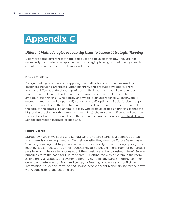

# *Different Methodologies Frequently Used To Support Strategic Planning*

Below are some different methodologies used to develop strategy. They are not necessarily comprehensive approaches to strategic planning on their own, yet each can play a valuable role in strategy development.

#### **Design Thinking**

Design thinking often refers to applying the methods and approaches used by designers including architects, urban planners, and product developers. There are many different understandings of design thinking. It is generally understood that design thinking methods share the following common traits: 1) creativity, 2) ambidextrous thinking—whole body and whole brain approaches, 3) teamwork, 4) user-centeredness and empathy, 5) curiosity, and 6) optimism. Social justice groups sometimes use design thinking to center the needs of the people being served at the core of the strategic planning process. One premise of design thinking is that the bigger the problem (or the more the constraints), the more magnificent and creative the solution. For more about design thinking and its application, see Stanford Design [School,](https://dschool.stanford.edu/about/) [Interaction Institute](http://interactioninstitute.org/design-thinking-for-social-change/) or [Idea Lab.](https://idealab.sdsu.edu/a-primer-on-design-thinking/))

#### **Future Search**

Started by Marvin Weisbord and Sandra Janoff, [Future Search](http://www.futuresearch.net) is a defined approach to a three-day planning meeting. On their website, they describe Future Search as a "planning meeting that helps people transform capability for action very quickly. The meeting is task-focused. It brings together 60 to 80 people in one room or hundreds in parallel rooms. People tell stories about their past, present and desired future." Several principles form the basis for Future Search: 1) Getting the whole system in the room; 2) Exploring all aspects of a system before trying to fix any part; 3) Putting common ground and future action front and center, 4) Treating problems and conflicts as information, not action items; and 5) Having people accept responsibility for their own work, conclusions, and action plans.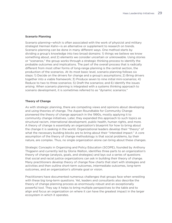#### **Scenario Planning**

Scenario planning—which is often associated with the work of physicist and military strategist Herman Kahn—is an alternative or supplement to research on trends. Scenario planning can be done in many different ways. One method starts by dividing a group's knowledge into two broad domains: 1) things we believe we know something about, and 2) elements we consider uncertain or unknowable. Using stories or "scenarios," the group works through a strategic thinking process to identify the probable outcomes and implications. The part of the overall process that is radically different from most other forms of long-range planning is the central section, the production of the scenarios. At its most basic level, scenario planning follows six steps: 1) Decide on the drivers for change and a group's assumptions; 2) Bring drivers together into a viable framework; 3) Produce seven to nine initial mini-scenarios; 4) Reduce to two to three scenarios; 5) Draft the scenarios; and 6) Identify the issues arising. When scenario planning is integrated with a systems thinking approach to scenario development, it is sometimes referred to as ["dynamic scenarios](https://en.wikipedia.org/w/index.php?title=Dynamic_scenarios&action=edit&redlink=1)."

#### **Theory of Change**

As with strategic planning, there are competing views and opinions about developing and using theories of change. The Aspen Roundtable for Community Change pioneered the theory of change approach in the 1990s, mostly applying it to community change initiatives. Later, they expanded this approach to such topics as structural racism, international development, public health, human rights, and more. A theory of change is essentially an organization's blueprint for how to bring about the change it is seeking in the world. Organizational leaders develop their "theory" of what the necessary building blocks are to bring about their "intended impact." A core assumption of the theory of change methodology is that social problems, by their nature, are complex. Thus, no single organization alone can bring about these changes.

Strategic Concepts in Organizing and Policy Education (SCOPE), founded by Anthony Thigpenn and currently led by Gloria Walton, identifies three parts to an organization's theory of change (analysis, goals, and strategies) and lays out a series of questions that social and racial justice organizations can ask in building their theory of change. Many practitioners develop theory of change flow charts that start with strategies and activities and then outline short-term outcomes, intermediate outcomes, long-term outcomes, and an organization's ultimate goal or vision.

Practitioners have documented numerous challenges that groups face when wrestling with these big long-term questions. Yet, leaders and consultants also describe the theory of change planning process as enormously robust and an exceptionally powerful tool. They say it helps to bring multiple perspectives to the table and to align and focus an organization on where it can have the greatest impact in the larger ecosystem in which it operates.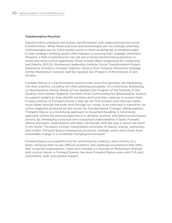#### **Transformative Practices**

Transformative practices link human transformation with organizational and social transformation. While these practices and technologies are not strategic planning methodologies per se, many leaders point to them as being key to breakthroughs in their strategic thinking and/or effectiveness in pursuing their strategic directions. Recently, a field of practitioners has set out to bring transformative practices to social and racial justice organizing. These include: Black Organizing for Leadership and Dignity (BOLD), Rockwood Leadership Institute, Social Transformation Project, Generative Somatics, Forward Together, Move to End Violence, Movement Strategy Center, Momentum Institute, and the Applied Zen Program of the Institute of Zen Studies.

Forward Stance is a transformative practice that some FLA grantees are integrating into their practice, including into their planning processes. It is mind-body technology co-developed by Norma Wong (of the Applied Zen Program of the Institute of Zen Studies) and Forward Together (formerly Asian Communities for Reproductive Justice) to support leaders as they identify solutions and build their capacity to pursue them. A basic premise of Forward Stance is that we can find answers and interrupt habits much faster through the body than through our minds. In an interview in *transform* (an online magazine produced by the Center for Transformative Change), Wong explains: "*Forward Stance* is a mind-body approach to movement building. A mind-body approach utilizes the physical *experience* to develop, explore, and demonstrate human actions. By developing a physical and conceptual understanding of basic *Forward Stance* principles, organizations and allies can literally shift the way in which we move in the world. The basics include characteristic principles of stance, energy, awareness, and rhythm. *Forward Stance* emphasizes proactive, strategic action that draws from sustainable energy in a constantly changing environment."

Forward Stance is a powerful tool for unlocking the creativity and curiosity of a team—allowing them to ask difficult questions and challenge assumptions that often limit nonprofit organizations. Dana Ginn Paredes, co-founder of Momentum Institute and a senior trainer in Forward Stance, has done Forward Stance work with FLA plan consultants, staff, and grantee leaders.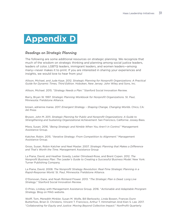

### *Readings on Strategic Planning*

The following are some additional resources on strategic planning. We recognize that much of the wisdom on strategic thinking and planning among social justice leaders, leaders of color, LGBTQ leaders, immigrant leaders, and women leaders—among many—never makes it to print. If you are interested in sharing your experiences and insights, we would love to hear from you!

Allison, Michael, and Jude Kaye. 2012. *Strategic Planning for Nonprofit Organizations: A Practical Guide for Dynamic Times, Third Edition.* Hoboken, New Jersey: John Wiley and Sons, Inc.

Allison, Michael. 2015. "*Strategy Needs a Plan."* Stanford Social Innovation Review.

Barry, Bryan W. 1997. *Strategic Planning Workbook for Nonprofit Organizations.* St. Paul, Minnesota: Fieldstone Alliance.

brown, adrienne maree. 2017. *Emergent Strategy – Shaping Change, Changing Worlds*. Chico, CA: AK Press

Bryson, John M. 2011. *Strategic Planning for Public and Nonprofit Organizations: A Guide to Strengthening and Sustaining Organizational Achievement*. San Francisco, California: Jossey-Bass.

Misra, Susan. 2016. "*Being Strategic and Nimble When You Aren't in Control."* Management Assistance Group.

Katcher, Robin. 2015. "*Iterative Strategy: From Competition to Alignment*." Management Assistance Group*.*

Gross, Susan, Robin Katcher and Neel Master. 2007. *Strategic Planning that Makes a Difference and That's Worth the Time.* Management Assistance Group

La Piana, David, and Heather Gowdy, Lester Olmstead-Rose, and Brent Copen. 2012. *The Nonprofit Business Plan: The Leader's Guide to Creating a Successful Business Model.* New York: Turner Publishing Company.

La Piana, David. 2008. *The Nonprofit Strategy Revolution: Real-Time Strategic Planning in a Rapid-Response World.* St. Paul, Minnesota: Fieldstone Alliance.

O'Donovan, Dana, and Noah Rimland Flower. 2013. "*The Strategic Plan is Dead. Long Live Strategy*." Stanford Social Innovation Review*.*

O-Pries, Lindsey with Management Assistance Group. 2016. "*Actionable and Adaptable Prorgram Strategy.* Blog on MAG website.

Wolff, Tom, Meredith Minkler, Susan M. Wolfe, Bill Berkowitz, Linda Bowen, Frances Dunn Butterfoss, Brian D. Christens, Vincent T. Francisco, Arthur T. Himmelman And Kien S. Lee. 2017. "*Collaborating for Equity and Justice: Moving Beyond Collective Impact*." NonProfit Quarterly